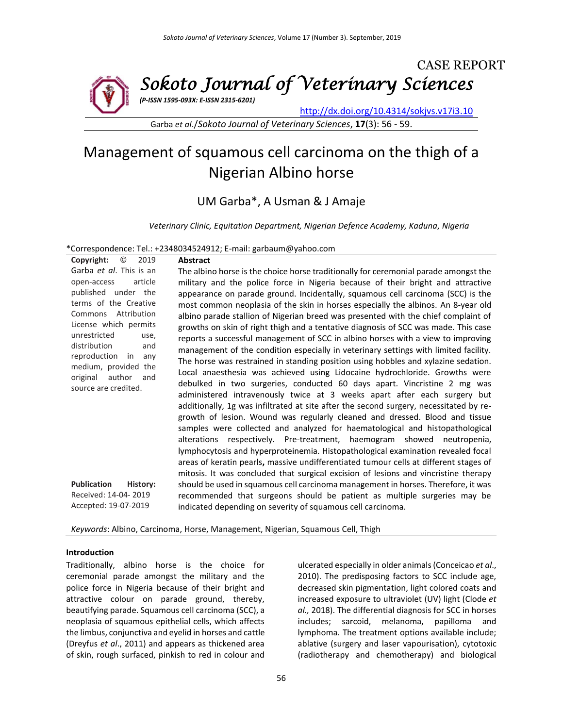

Garba *et al*./*Sokoto Journal of Veterinary Sciences*, **17**(3): 56 - 59.

# Management of squamous cell carcinoma on the thigh of a Nigerian Albino horse

# UM Garba\*, A Usman & J Amaje

*Veterinary Clinic, Equitation Department, Nigerian Defence Academy, Kaduna, Nigeria*

#### \*Correspondence: Tel.: +2348034524912; E-mail: garbaum@yahoo.com

**Copyright:** © 2019 Garba *et al*. This is an open-access article published under the terms of the Creative Commons Attribution License which permits unrestricted use, distribution and reproduction in any medium, provided the original author and source are credited. **Publication History:**  Received: 14-04- 2019 Accepted: 19-07-2019 **Abstract** The albino horse is the choice horse traditionally for ceremonial parade amongst the military and the police force in Nigeria because of their bright and attractive appearance on parade ground. Incidentally, squamous cell carcinoma (SCC) is the most common neoplasia of the skin in horses especially the albinos. An 8-year old albino parade stallion of Nigerian breed was presented with the chief complaint of growths on skin of right thigh and a tentative diagnosis of SCC was made. This case reports a successful management of SCC in albino horses with a view to improving management of the condition especially in veterinary settings with limited facility. The horse was restrained in standing position using hobbles and xylazine sedation. Local anaesthesia was achieved using Lidocaine hydrochloride. Growths were debulked in two surgeries, conducted 60 days apart. Vincristine 2 mg was administered intravenously twice at 3 weeks apart after each surgery but additionally, 1g was infiltrated at site after the second surgery, necessitated by regrowth of lesion. Wound was regularly cleaned and dressed. Blood and tissue samples were collected and analyzed for haematological and histopathological alterations respectively. Pre-treatment, haemogram showed neutropenia, lymphocytosis and hyperproteinemia. Histopathological examination revealed focal areas of keratin pearls**,** massive undifferentiated tumour cells at different stages of mitosis. It was concluded that surgical excision of lesions and vincristine therapy should be used in squamous cell carcinoma management in horses. Therefore, it was recommended that surgeons should be patient as multiple surgeries may be indicated depending on severity of squamous cell carcinoma.

*Keywords*: Albino, Carcinoma, Horse, Management, Nigerian, Squamous Cell, Thigh

#### **Introduction**

Traditionally, albino horse is the choice for ceremonial parade amongst the military and the police force in Nigeria because of their bright and attractive colour on parade ground, thereby, beautifying parade. Squamous cell carcinoma (SCC), a neoplasia of squamous epithelial cells, which affects the limbus, conjunctiva and eyelid in horses and cattle (Dreyfus *et al*., 2011) and appears as thickened area of skin, rough surfaced, pinkish to red in colour and ulcerated especially in older animals (Conceicao *et al*., 2010). The predisposing factors to SCC include age, decreased skin pigmentation, light colored coats and increased exposure to ultraviolet (UV) light (Clode *et al.,* 2018). The differential diagnosis for SCC in horses includes; sarcoid, melanoma, papilloma and lymphoma. The treatment options available include; ablative (surgery and laser vapourisation), cytotoxic (radiotherapy and chemotherapy) and biological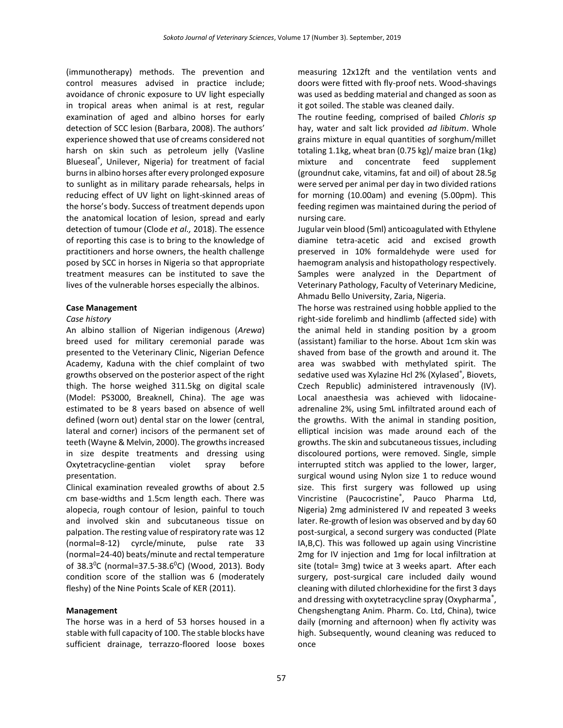(immunotherapy) methods. The prevention and control measures advised in practice include; avoidance of chronic exposure to UV light especially in tropical areas when animal is at rest, regular examination of aged and albino horses for early detection of SCC lesion (Barbara, 2008). The authors' experience showed that use of creams considered not harsh on skin such as petroleum jelly (Vasline Blueseal® , Unilever, Nigeria) for treatment of facial burns in albino horses after every prolonged exposure to sunlight as in military parade rehearsals, helps in reducing effect of UV light on light-skinned areas of the horse's body. Success of treatment depends upon the anatomical location of lesion, spread and early detection of tumour (Clode *et al.,* 2018). The essence of reporting this case is to bring to the knowledge of practitioners and horse owners, the health challenge posed by SCC in horses in Nigeria so that appropriate treatment measures can be instituted to save the lives of the vulnerable horses especially the albinos.

#### **Case Management**

#### *Case history*

An albino stallion of Nigerian indigenous (*Arewa*) breed used for military ceremonial parade was presented to the Veterinary Clinic, Nigerian Defence Academy, Kaduna with the chief complaint of two growths observed on the posterior aspect of the right thigh. The horse weighed 311.5kg on digital scale (Model: PS3000, Breaknell, China). The age was estimated to be 8 years based on absence of well defined (worn out) dental star on the lower (central, lateral and corner) incisors of the permanent set of teeth (Wayne & Melvin, 2000). The growths increased in size despite treatments and dressing using Oxytetracycline-gentian violet spray before presentation.

Clinical examination revealed growths of about 2.5 cm base-widths and 1.5cm length each. There was alopecia, rough contour of lesion, painful to touch and involved skin and subcutaneous tissue on palpation. The resting value of respiratory rate was 12 (normal=8-12) cyrcle/minute, pulse rate 33 (normal=24-40) beats/minute and rectal temperature of 38.3<sup>o</sup>C (normal=37.5-38.6<sup>o</sup>C) (Wood, 2013). Body condition score of the stallion was 6 (moderately fleshy) of the Nine Points Scale of KER (2011).

#### **Management**

The horse was in a herd of 53 horses housed in a stable with full capacity of 100. The stable blocks have sufficient drainage, terrazzo-floored loose boxes measuring 12x12ft and the ventilation vents and doors were fitted with fly-proof nets. Wood-shavings was used as bedding material and changed as soon as it got soiled. The stable was cleaned daily.

The routine feeding, comprised of bailed *Chloris sp* hay, water and salt lick provided *ad libitum*. Whole grains mixture in equal quantities of sorghum/millet totaling 1.1kg, wheat bran (0.75 kg)/ maize bran (1kg) mixture and concentrate feed supplement (groundnut cake, vitamins, fat and oil) of about 28.5g were served per animal per day in two divided rations for morning (10.00am) and evening (5.00pm). This feeding regimen was maintained during the period of nursing care.

Jugular vein blood (5ml) anticoagulated with Ethylene diamine tetra-acetic acid and excised growth preserved in 10% formaldehyde were used for haemogram analysis and histopathology respectively. Samples were analyzed in the Department of Veterinary Pathology, Faculty of Veterinary Medicine, Ahmadu Bello University, Zaria, Nigeria.

The horse was restrained using hobble applied to the right-side forelimb and hindlimb (affected side) with the animal held in standing position by a groom (assistant) familiar to the horse. About 1cm skin was shaved from base of the growth and around it. The area was swabbed with methylated spirit. The sedative used was Xylazine Hcl 2% (Xylased®, Biovets, Czech Republic) administered intravenously (IV). Local anaesthesia was achieved with lidocaineadrenaline 2%, using 5mL infiltrated around each of the growths. With the animal in standing position, elliptical incision was made around each of the growths. The skin and subcutaneous tissues, including discoloured portions, were removed. Single, simple interrupted stitch was applied to the lower, larger, surgical wound using Nylon size 1 to reduce wound size. This first surgery was followed up using Vincristine (Paucocristine® , Pauco Pharma Ltd, Nigeria) 2mg administered IV and repeated 3 weeks later. Re-growth of lesion was observed and by day 60 post-surgical, a second surgery was conducted (Plate IA,B,C). This was followed up again using Vincristine 2mg for IV injection and 1mg for local infiltration at site (total= 3mg) twice at 3 weeks apart. After each surgery, post-surgical care included daily wound cleaning with diluted chlorhexidine for the first 3 days and dressing with oxytetracycline spray (Oxypharma<sup>®</sup>, Chengshengtang Anim. Pharm. Co. Ltd, China), twice daily (morning and afternoon) when fly activity was high. Subsequently, wound cleaning was reduced to once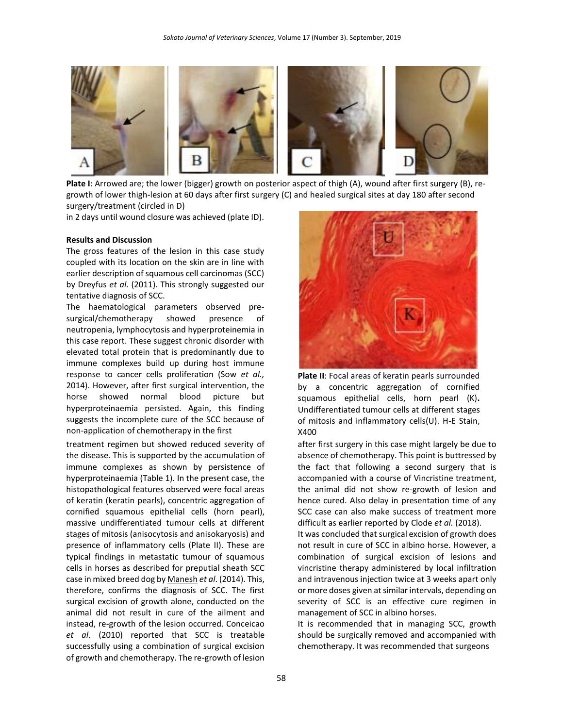

**Plate I**: Arrowed are; the lower (bigger) growth on posterior aspect of thigh (A), wound after first surgery (B), regrowth of lower thigh-lesion at 60 days after first surgery (C) and healed surgical sites at day 180 after second surgery/treatment (circled in D)

in 2 days until wound closure was achieved (plate ID).

#### **Results and Discussion**

The gross features of the lesion in this case study coupled with its location on the skin are in line with earlier description of squamous cell carcinomas (SCC) by Dreyfus *et al*. (2011). This strongly suggested our tentative diagnosis of SCC.

The haematological parameters observed presurgical/chemotherapy showed presence of neutropenia, lymphocytosis and hyperproteinemia in this case report. These suggest chronic disorder with elevated total protein that is predominantly due to immune complexes build up during host immune response to cancer cells proliferation (Sow *et al.,* 2014). However, after first surgical intervention, the horse showed normal blood picture but hyperproteinaemia persisted. Again, this finding suggests the incomplete cure of the SCC because of non-application of chemotherapy in the first

treatment regimen but showed reduced severity of the disease. This is supported by the accumulation of immune complexes as shown by persistence of hyperproteinaemia (Table 1). In the present case, the histopathological features observed were focal areas of keratin (keratin pearls), concentric aggregation of cornified squamous epithelial cells (horn pearl), massive undifferentiated tumour cells at different stages of mitosis (anisocytosis and anisokaryosis) and presence of inflammatory cells (Plate II). These are typical findings in metastatic tumour of squamous cells in horses as described for preputial sheath SCC case in mixed breed dog b[y Manesh](https://www.ncbi.nlm.nih.gov/pubmed/?term=Yaghoobi%20Yeganeh%20Manesh%20J%5BAuthor%5D&cauthor=true&cauthor_uid=24903567) *et al*. (2014). This, therefore, confirms the diagnosis of SCC. The first surgical excision of growth alone, conducted on the animal did not result in cure of the ailment and instead, re-growth of the lesion occurred. Conceicao *et al*. (2010) reported that SCC is treatable successfully using a combination of surgical excision of growth and chemotherapy. The re-growth of lesion



**Plate II**: Focal areas of keratin pearls surrounded by a concentric aggregation of cornified squamous epithelial cells, horn pearl (K)**.**  Undifferentiated tumour cells at different stages of mitosis and inflammatory cells(U). H-E Stain, X400

after first surgery in this case might largely be due to absence of chemotherapy. This point is buttressed by the fact that following a second surgery that is accompanied with a course of Vincristine treatment, the animal did not show re-growth of lesion and hence cured. Also delay in presentation time of any SCC case can also make success of treatment more difficult as earlier reported by Clode *et al.* (2018).

It was concluded that surgical excision of growth does not result in cure of SCC in albino horse. However, a combination of surgical excision of lesions and vincristine therapy administered by local infiltration and intravenous injection twice at 3 weeks apart only or more doses given at similar intervals, depending on severity of SCC is an effective cure regimen in management of SCC in albino horses.

It is recommended that in managing SCC, growth should be surgically removed and accompanied with chemotherapy. It was recommended that surgeons